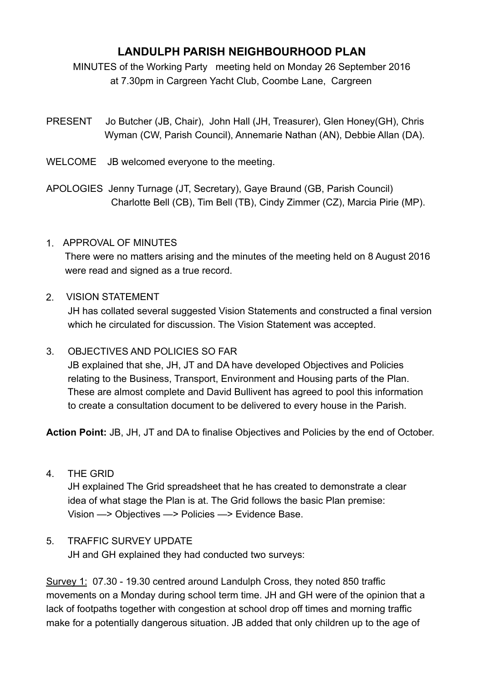# **LANDULPH PARISH NEIGHBOURHOOD PLAN**

MINUTES of the Working Party meeting held on Monday 26 September 2016 at 7.30pm in Cargreen Yacht Club, Coombe Lane, Cargreen

- PRESENT Jo Butcher (JB, Chair), John Hall (JH, Treasurer), Glen Honey(GH), Chris Wyman (CW, Parish Council), Annemarie Nathan (AN), Debbie Allan (DA).
- WELCOME JB welcomed everyone to the meeting.
- APOLOGIES Jenny Turnage (JT, Secretary), Gaye Braund (GB, Parish Council) Charlotte Bell (CB), Tim Bell (TB), Cindy Zimmer (CZ), Marcia Pirie (MP).

## 1. APPROVAL OF MINUTES

 There were no matters arising and the minutes of the meeting held on 8 August 2016 were read and signed as a true record.

### 2. VISION STATEMENT

 JH has collated several suggested Vision Statements and constructed a final version which he circulated for discussion. The Vision Statement was accepted.

## 3. OBJECTIVES AND POLICIES SO FAR

 JB explained that she, JH, JT and DA have developed Objectives and Policies relating to the Business, Transport, Environment and Housing parts of the Plan. These are almost complete and David Bullivent has agreed to pool this information to create a consultation document to be delivered to every house in the Parish.

**Action Point:** JB, JH, JT and DA to finalise Objectives and Policies by the end of October.

4. THE GRID

 JH explained The Grid spreadsheet that he has created to demonstrate a clear idea of what stage the Plan is at. The Grid follows the basic Plan premise: Vision —> Objectives —> Policies —> Evidence Base.

## 5. TRAFFIC SURVEY UPDATE

JH and GH explained they had conducted two surveys:

Survey 1: 07.30 - 19.30 centred around Landulph Cross, they noted 850 traffic movements on a Monday during school term time. JH and GH were of the opinion that a lack of footpaths together with congestion at school drop off times and morning traffic make for a potentially dangerous situation. JB added that only children up to the age of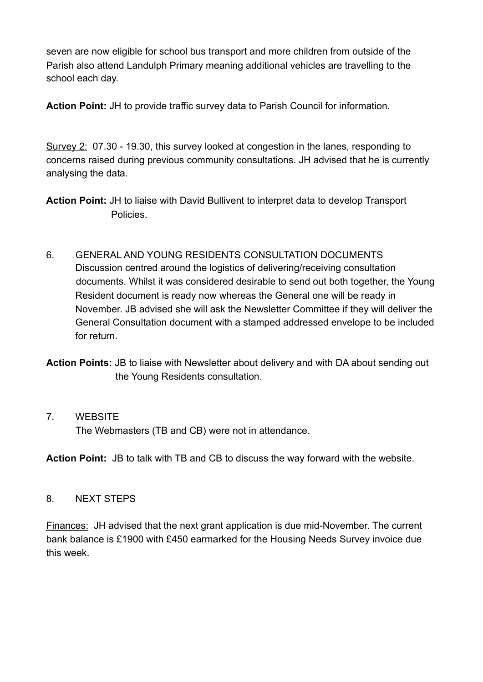seven are now eligible for school bus transport and more children from outside of the Parish also attend Landulph Primary meaning additional vehicles are travelling to the school each day.

**Action Point:** JH to provide traffic survey data to Parish Council for information.

Survey 2: 07.30 - 19.30, this survey looked at congestion in the lanes, responding to concerns raised during previous community consultations. JH advised that he is currently analysing the data.

**Action Point:** JH to liaise with David Bullivent to interpret data to develop Transport Policies.

- 6. GENERAL AND YOUNG RESIDENTS CONSULTATION DOCUMENTS Discussion centred around the logistics of delivering/receiving consultation documents. Whilst it was considered desirable to send out both together, the Young Resident document is ready now whereas the General one will be ready in November. JB advised she will ask the Newsletter Committee if they will deliver the General Consultation document with a stamped addressed envelope to be included for return.
- **Action Points:** JB to liaise with Newsletter about delivery and with DA about sending out the Young Residents consultation.

#### 7. WEBSITE

The Webmasters (TB and CB) were not in attendance.

**Action Point:** JB to talk with TB and CB to discuss the way forward with the website.

#### 8. NEXT STEPS

Finances: JH advised that the next grant application is due mid-November. The current bank balance is £1900 with £450 earmarked for the Housing Needs Survey invoice due this week.